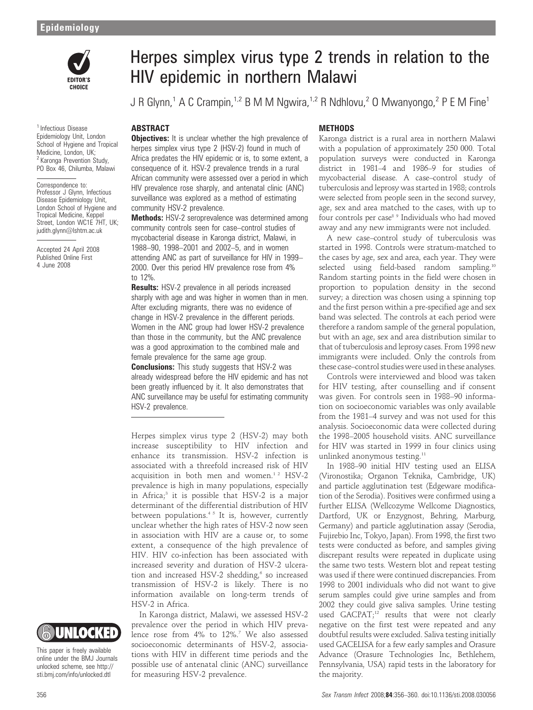

<sup>1</sup> Infectious Disease Epidemiology Unit, London School of Hygiene and Tropical Medicine, London, UK; <sup>2</sup> Karonga Prevention Study, PO Box 46, Chilumba, Malawi

Correspondence to: Professor J Glynn, Infectious Disease Epidemiology Unit, London School of Hygiene and Tropical Medicine, Keppel Street, London WC1E 7HT, UK; judith.glynn@lshtm.ac.uk

Accepted 24 April 2008 Published Online First 4 June 2008

# Herpes simplex virus type 2 trends in relation to the HIV epidemic in northern Malawi

J R Glynn,<sup>1</sup> A C Crampin,<sup>1,2</sup> B M M Ngwira,<sup>1,2</sup> R Ndhlovu,<sup>2</sup> O Mwanyongo,<sup>2</sup> P E M Fine<sup>1</sup>

## ABSTRACT

# **METHODS**

**Objectives:** It is unclear whether the high prevalence of herpes simplex virus type 2 (HSV-2) found in much of Africa predates the HIV epidemic or is, to some extent, a consequence of it. HSV-2 prevalence trends in a rural African community were assessed over a period in which HIV prevalence rose sharply, and antenatal clinic (ANC) surveillance was explored as a method of estimating community HSV-2 prevalence.

Methods: HSV-2 seroprevalence was determined among community controls seen for case–control studies of mycobacterial disease in Karonga district, Malawi, in 1988–90, 1998–2001 and 2002–5, and in women attending ANC as part of surveillance for HIV in 1999– 2000. Over this period HIV prevalence rose from 4% to 12%.

**Results:** HSV-2 prevalence in all periods increased sharply with age and was higher in women than in men. After excluding migrants, there was no evidence of change in HSV-2 prevalence in the different periods. Women in the ANC group had lower HSV-2 prevalence than those in the community, but the ANC prevalence was a good approximation to the combined male and female prevalence for the same age group. **Conclusions:** This study suggests that HSV-2 was

already widespread before the HIV epidemic and has not been greatly influenced by it. It also demonstrates that ANC surveillance may be useful for estimating community HSV-2 prevalence.

Herpes simplex virus type 2 (HSV-2) may both increase susceptibility to HIV infection and enhance its transmission. HSV-2 infection is associated with a threefold increased risk of HIV acquisition in both men and women.<sup>12</sup> HSV-2 prevalence is high in many populations, especially in Africa;<sup>3</sup> it is possible that HSV-2 is a major determinant of the differential distribution of HIV between populations.<sup>45</sup> It is, however, currently unclear whether the high rates of HSV-2 now seen in association with HIV are a cause or, to some extent, a consequence of the high prevalence of HIV. HIV co-infection has been associated with increased severity and duration of HSV-2 ulceration and increased HSV-2 shedding, $6$  so increased transmission of HSV-2 is likely. There is no information available on long-term trends of HSV-2 in Africa.

In Karonga district, Malawi, we assessed HSV-2 prevalence over the period in which HIV prevalence rose from 4% to 12%.<sup>7</sup> We also assessed socioeconomic determinants of HSV-2, associations with HIV in different time periods and the possible use of antenatal clinic (ANC) surveillance for measuring HSV-2 prevalence.

Karonga district is a rural area in northern Malawi with a population of approximately 250 000. Total population surveys were conducted in Karonga district in 1981–4 and 1986–9 for studies of mycobacterial disease. A case–control study of tuberculosis and leprosy was started in 1988; controls were selected from people seen in the second survey, age, sex and area matched to the cases, with up to four controls per case<sup>8 9</sup> Individuals who had moved away and any new immigrants were not included.

A new case–control study of tuberculosis was started in 1998. Controls were stratum-matched to the cases by age, sex and area, each year. They were selected using field-based random sampling.<sup>10</sup> Random starting points in the field were chosen in proportion to population density in the second survey; a direction was chosen using a spinning top and the first person within a pre-specified age and sex band was selected. The controls at each period were therefore a random sample of the general population, but with an age, sex and area distribution similar to that of tuberculosis and leprosy cases. From 1998 new immigrants were included. Only the controls from these case–control studies were used in these analyses.

Controls were interviewed and blood was taken for HIV testing, after counselling and if consent was given. For controls seen in 1988–90 information on socioeconomic variables was only available from the 1981–4 survey and was not used for this analysis. Socioeconomic data were collected during the 1998–2005 household visits. ANC surveillance for HIV was started in 1999 in four clinics using unlinked anonymous testing.<sup>11</sup>

In 1988–90 initial HIV testing used an ELISA (Vironostika; Organon Teknika, Cambridge, UK) and particle agglutination test (Edgeware modification of the Serodia). Positives were confirmed using a further ELISA (Wellcozyme Wellcome Diagnostics, Dartford, UK or Enzygnost, Behring, Marburg, Germany) and particle agglutination assay (Serodia, Fujirebio Inc, Tokyo, Japan). From 1998, the first two tests were conducted as before, and samples giving discrepant results were repeated in duplicate using the same two tests. Western blot and repeat testing was used if there were continued discrepancies. From 1998 to 2001 individuals who did not want to give serum samples could give urine samples and from 2002 they could give saliva samples. Urine testing used GACPAT;<sup>12</sup> results that were not clearly negative on the first test were repeated and any doubtful results were excluded. Saliva testing initially used GACELISA for a few early samples and Orasure Advance (Orasure Technologies Inc, Bethlehem, Pennsylvania, USA) rapid tests in the laboratory for the majority.

This paper is freely available online under the BMJ Journals unlocked scheme, see http:// sti.bmj.com/info/unlocked.dtl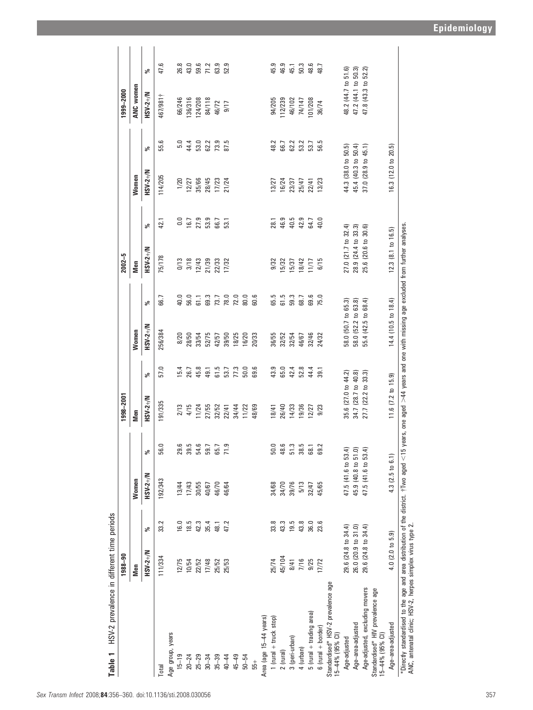| HSV-2 prevalence in different time periods<br>Table 1                                                                                                                                                                                    |                     |      |                     |      |                     |      |                     |              |                                                                         |                  |                     |      |                 |                       |
|------------------------------------------------------------------------------------------------------------------------------------------------------------------------------------------------------------------------------------------|---------------------|------|---------------------|------|---------------------|------|---------------------|--------------|-------------------------------------------------------------------------|------------------|---------------------|------|-----------------|-----------------------|
|                                                                                                                                                                                                                                          | 1988-90             |      |                     |      | 1998-2001           |      |                     |              | $2002 - 5$                                                              |                  |                     |      | 1999-2000       |                       |
|                                                                                                                                                                                                                                          | Men                 |      | Women               |      | Men                 |      | <b>Nomen</b>        |              | Men                                                                     |                  | Women               |      | ANC women       |                       |
|                                                                                                                                                                                                                                          | HSV-2+/N            | వి   | HSV-2+/N            | వ్   | HSV-2+/N            | వ్   | HSV-2+/N            | వ్           | HSV-2+/N                                                                | వ్               | $HSV-2+/N$          | వ్   | HSV-2+/N        | వి                    |
| Total                                                                                                                                                                                                                                    | 111/334             | 33.2 | 192/343             | 56.0 | 191/335             | 57.0 | 256/384             | 66.7         | 75/178                                                                  | 42.1             | 114/205             | 55.6 | 467/981†        | 47.6                  |
| Age group, years                                                                                                                                                                                                                         |                     |      |                     |      |                     |      |                     |              |                                                                         |                  |                     |      |                 |                       |
| $15 - 19$                                                                                                                                                                                                                                | 12/75               | 16.0 | 13/44               | 29.6 | 2/13                | 15.4 | 8/20                | 40.0         | Q/13                                                                    | $\overline{0}$ . | 1/20                | 5.0  | 66/246          | 26.8                  |
| $20 - 24$                                                                                                                                                                                                                                | 10/54               | 18.5 | 17/43               | 39.5 | 4/15                | 26.7 | 28/50               | 56.0         |                                                                         | 16.7             | 12/27               | 44.4 | 136/316         | 43.0                  |
| $25 - 29$                                                                                                                                                                                                                                | 22/52               | 42.3 | 30/55               | 54.6 | 11/24               | 45.8 | 33/54               |              |                                                                         |                  | 35/66               | 53.0 | 124/208         |                       |
| $30 - 34$                                                                                                                                                                                                                                | 17/48               | 35.4 | 40/67               | 59.7 | 27/55               | 49.1 | 52/75               | 61.1         | $\begin{array}{c} 3/18 \\ 12/43 \\ 21/39 \\ 22/33 \\ 17/32 \end{array}$ | 27.9<br>53.9     | 28/45               | 62.2 | 84/118<br>46/72 | 59.6<br>7 1 2<br>63.9 |
| $35 - 39$                                                                                                                                                                                                                                | 25/52               | 48.1 | 46/70               | 65.7 | 32/52               | 61.5 | 42/57               | 73.7         |                                                                         | 66.7             | 17/23               | 73.9 |                 |                       |
| $40 - 44$                                                                                                                                                                                                                                | 25/53               | 47.2 | 46/64               | 71.9 | 22/41               | 53.7 | 39/50               | 78.0         |                                                                         | 53.1             | 21/24               | 87.5 | 9/17            | 52.9                  |
| $45 - 49$                                                                                                                                                                                                                                |                     |      |                     |      | 34/44               | 77.3 | 18/25               |              |                                                                         |                  |                     |      |                 |                       |
| $50 - 54$                                                                                                                                                                                                                                |                     |      |                     |      | 11/22               | 50.0 | 16/20               | 72.0<br>80.0 |                                                                         |                  |                     |      |                 |                       |
| $55 +$                                                                                                                                                                                                                                   |                     |      |                     |      | 48/69               | 69.6 | 20/33               | 60.6         |                                                                         |                  |                     |      |                 |                       |
| Area (age 15-44 years)                                                                                                                                                                                                                   |                     |      |                     |      |                     |      |                     |              |                                                                         |                  |                     |      |                 |                       |
| $1$ (rural $+$ truck stop)                                                                                                                                                                                                               | 25/74               | 33.8 | 34/68               | 50.0 | 18/41               | 43.9 | 36/55               |              |                                                                         | 28.1             | 13/27               | 48.2 | 94/205          | 45.9                  |
| $2$ (rural)                                                                                                                                                                                                                              | 45/104              | 43.3 | 34/70               | 48.6 | 26/40               | 65.0 | 32/52               | 65.5<br>61.5 | 9/32<br>15/32<br>15/37                                                  | 46.9             | 16/24               | 66.7 | 112/239         | 46.9                  |
| 3 (peri-urban)                                                                                                                                                                                                                           | 8/41                | 19.5 | 39/76               | 51.3 | 14/33               | 42.4 | 32/54               | 59.3         |                                                                         | 40.5             | 23/37               | 62.2 | 46/102          | 45.1                  |
| 4 (urban)                                                                                                                                                                                                                                | 7/16                | 43.8 | 5/13                | 38.5 | 19/36               | 52.8 | 46/67               | 68.7         | 18/42                                                                   | 42.9             | 25/47               | 53.2 | 74/147          | 50.3                  |
| $5$ (rural $+$ trading area)                                                                                                                                                                                                             | 9/25                | 36.0 | 32/47               | 68.1 | 12/27               | 44.4 | 32/46               | 69.6         | 1/17                                                                    | 64.7             | 22/41               | 53.7 | 01/208          | 48.6                  |
| $6$ (rural + border)                                                                                                                                                                                                                     | 17/72               | 23.6 | 45/65               | 69.2 | 9/23                | 39.1 | 24/32               | 75.0         | 6/15                                                                    | 40.0             | 13/23               | 56.5 | 36/74           | 48.7                  |
| Standardised* HSV-2 prevalence age<br>15-44% (95% CI)                                                                                                                                                                                    |                     |      |                     |      |                     |      |                     |              |                                                                         |                  |                     |      |                 |                       |
| Age-adjusted                                                                                                                                                                                                                             | 29.6 (24.8 to 34.4) |      | 47.5 (41.6 to 53.4) |      | 35.6 (27.0 to 44.2) |      | 58.0 (50.7 to 65.3) |              | $27.0$ ( $21.7$ to $32.4$ )                                             |                  | 44.3 (38.0 to       | 50.5 | 48.2 (44.7 to   | 51.6                  |
| Age-area-adjusted                                                                                                                                                                                                                        | 26.0 (20.9 to 31.0) |      | 45.9 (40.8 to 51.0) |      | 34.7 (28.7 to 40.8) |      | 58.0 (52.2 to 63.8) |              | 28.9 (24.4 to 33.3)                                                     |                  | 45.4 (40.3 to 50.4) |      | 47.2 (44.1 to   | 50.3)                 |
| Age-adjusted, excluding movers                                                                                                                                                                                                           | 29.6 (24.8 to 34.4) |      | 47.5 (41.6 to 53.4) |      | 27.7 (22.2 to 33.3) |      | 55.4 (42.5 to 68.4) |              | 25.6 (20.6 to                                                           | 30.6)            | 37.0 (28.9 to 45.1) |      | 47.8 (43.3 to   | 52.2)                 |
| Standardised* HIV prevalence age<br>15-44% (95% CI)                                                                                                                                                                                      |                     |      |                     |      |                     |      |                     |              |                                                                         |                  |                     |      |                 |                       |
| Age-area-adjusted                                                                                                                                                                                                                        | 4.0 (2.0 to 5.9)    |      | 4.3 (2.5 to 6.1)    |      | 11.6 (7.2 to 15.9)  |      | 14.4 (10.5 to 18.4) |              | $12.3$ $(8.1 \text{ to } 16.5)$                                         |                  | 16.3 (12.0 to 20.5) |      |                 |                       |
| *Directly standardised to the age and area distribution of the district. †Two aged < 15 years, one aged >44 years and one with missing age excluded from further analyses.<br>ANC, antenatal clinic; HSV-2, herpes simplex virus type 2. |                     |      |                     |      |                     |      |                     |              |                                                                         |                  |                     |      |                 |                       |

Epidemiology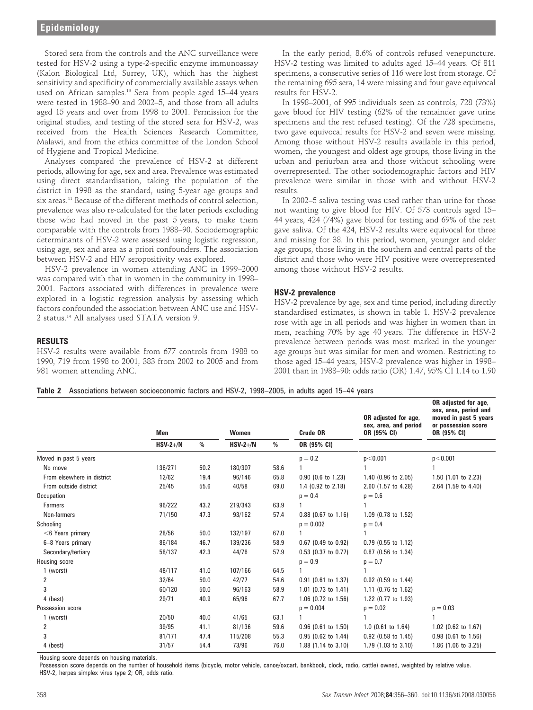**RESULTS** 

981 women attending ANC.

Stored sera from the controls and the ANC surveillance were tested for HSV-2 using a type-2-specific enzyme immunoassay (Kalon Biological Ltd, Surrey, UK), which has the highest sensitivity and specificity of commercially available assays when used on African samples.<sup>13</sup> Sera from people aged 15–44 years were tested in 1988–90 and 2002–5, and those from all adults aged 15 years and over from 1998 to 2001. Permission for the original studies, and testing of the stored sera for HSV-2, was received from the Health Sciences Research Committee, Malawi, and from the ethics committee of the London School of Hygiene and Tropical Medicine.

Analyses compared the prevalence of HSV-2 at different periods, allowing for age, sex and area. Prevalence was estimated using direct standardisation, taking the population of the district in 1998 as the standard, using 5-year age groups and six areas.<sup>11</sup> Because of the different methods of control selection, prevalence was also re-calculated for the later periods excluding those who had moved in the past 5 years, to make them comparable with the controls from 1988–90. Sociodemographic determinants of HSV-2 were assessed using logistic regression, using age, sex and area as a priori confounders. The association between HSV-2 and HIV seropositivity was explored.

HSV-2 prevalence in women attending ANC in 1999–2000 was compared with that in women in the community in 1998– 2001. Factors associated with differences in prevalence were explored in a logistic regression analysis by assessing which factors confounded the association between ANC use and HSV-2 status.14 All analyses used STATA version 9.

HSV-2 results were available from 677 controls from 1988 to 1990, 719 from 1998 to 2001, 383 from 2002 to 2005 and from

In the early period, 8.6% of controls refused venepuncture. HSV-2 testing was limited to adults aged 15–44 years. Of 811 specimens, a consecutive series of 116 were lost from storage. Of the remaining 695 sera, 14 were missing and four gave equivocal results for HSV-2.

In 1998–2001, of 995 individuals seen as controls, 728 (73%) gave blood for HIV testing (62% of the remainder gave urine specimens and the rest refused testing). Of the 728 specimens, two gave equivocal results for HSV-2 and seven were missing. Among those without HSV-2 results available in this period, women, the youngest and oldest age groups, those living in the urban and periurban area and those without schooling were overrepresented. The other sociodemographic factors and HIV prevalence were similar in those with and without HSV-2 results.

In 2002–5 saliva testing was used rather than urine for those not wanting to give blood for HIV. Of 573 controls aged 15– 44 years, 424 (74%) gave blood for testing and 69% of the rest gave saliva. Of the 424, HSV-2 results were equivocal for three and missing for 38. In this period, women, younger and older age groups, those living in the southern and central parts of the district and those who were HIV positive were overrepresented among those without HSV-2 results.

## HSV-2 prevalence

HSV-2 prevalence by age, sex and time period, including directly standardised estimates, is shown in table 1. HSV-2 prevalence rose with age in all periods and was higher in women than in men, reaching 70% by age 40 years. The difference in HSV-2 prevalence between periods was most marked in the younger age groups but was similar for men and women. Restricting to those aged 15–44 years, HSV-2 prevalence was higher in 1998– 2001 than in 1988–90: odds ratio (OR) 1.47, 95% CI 1.14 to 1.90

### Table 2 Associations between socioeconomic factors and HSV-2, 1998–2005, in adults aged 15–44 years

|                            | Men        | $\%$ | Women      | $\%$ | Crude OR<br>OR (95% CI) | OR adjusted for age,<br>sex, area, and period<br>OR (95% CI) | OR adjusted for age,<br>sex, area, period and<br>moved in past 5 years<br>or possession score<br>OR (95% CI) |
|----------------------------|------------|------|------------|------|-------------------------|--------------------------------------------------------------|--------------------------------------------------------------------------------------------------------------|
|                            | $HSV-2+/N$ |      | $HSV-2+/N$ |      |                         |                                                              |                                                                                                              |
| Moved in past 5 years      |            |      |            |      | $p = 0.2$               | p<0.001                                                      | p<0.001                                                                                                      |
| No move                    | 136/271    | 50.2 | 180/307    | 58.6 |                         |                                                              |                                                                                                              |
| From elsewhere in district | 12/62      | 19.4 | 96/146     | 65.8 | $0.90$ (0.6 to 1.23)    | 1.40 (0.96 to 2.05)                                          | 1.50 (1.01 to 2.23)                                                                                          |
| From outside district      | 25/45      | 55.6 | 40/58      | 69.0 | 1.4 (0.92 to 2.18)      | 2.60 (1.57 to 4.28)                                          | 2.64 (1.59 to 4.40)                                                                                          |
| Occupation                 |            |      |            |      | $p = 0.4$               | $p = 0.6$                                                    |                                                                                                              |
| <b>Farmers</b>             | 96/222     | 43.2 | 219/343    | 63.9 |                         |                                                              |                                                                                                              |
| Non-farmers                | 71/150     | 47.3 | 93/162     | 57.4 | $0.88$ (0.67 to 1.16)   | 1.09 (0.78 to 1.52)                                          |                                                                                                              |
| Schooling                  |            |      |            |      | $p = 0.002$             | $p = 0.4$                                                    |                                                                                                              |
| $<$ 6 Years primary        | 28/56      | 50.0 | 132/197    | 67.0 |                         |                                                              |                                                                                                              |
| 6-8 Years primary          | 86/184     | 46.7 | 139/236    | 58.9 | 0.67 (0.49 to 0.92)     | $0.79$ (0.55 to 1.12)                                        |                                                                                                              |
| Secondary/tertiary         | 58/137     | 42.3 | 44/76      | 57.9 | $0.53$ (0.37 to 0.77)   | 0.87 (0.56 to 1.34)                                          |                                                                                                              |
| Housing score              |            |      |            |      | $p = 0.9$               | $p = 0.7$                                                    |                                                                                                              |
| 1 (worst)                  | 48/117     | 41.0 | 107/166    | 64.5 |                         |                                                              |                                                                                                              |
| 2                          | 32/64      | 50.0 | 42/77      | 54.6 | $0.91$ (0.61 to 1.37)   | 0.92 (0.59 to 1.44)                                          |                                                                                                              |
| 3                          | 60/120     | 50.0 | 96/163     | 58.9 | 1.01 (0.73 to 1.41)     | 1.11 (0.76 to 1.62)                                          |                                                                                                              |
| 4 (best)                   | 29/71      | 40.9 | 65/96      | 67.7 | 1.06 (0.72 to 1.56)     | 1.22 (0.77 to 1.93)                                          |                                                                                                              |
| Possession score           |            |      |            |      | $p = 0.004$             | $p = 0.02$                                                   | $p = 0.03$                                                                                                   |
| 1 (worst)                  | 20/50      | 40.0 | 41/65      | 63.1 |                         |                                                              |                                                                                                              |
| 2                          | 39/95      | 41.1 | 81/136     | 59.6 | $0.96$ (0.61 to 1.50)   | $1.0$ (0.61 to $1.64$ )                                      | 1.02 (0.62 to 1.67)                                                                                          |
| 3                          | 81/171     | 47.4 | 115/208    | 55.3 | $0.95$ (0.62 to 1.44)   | 0.92 (0.58 to 1.45)                                          | $0.98$ (0.61 to 1.56)                                                                                        |
| 4 (best)                   | 31/57      | 54.4 | 73/96      | 76.0 | 1.88 (1.14 to 3.10)     | 1.79 (1.03 to 3.10)                                          | 1.86 (1.06 to 3.25)                                                                                          |

Housing score depends on housing materials.

Possession score depends on the number of household items (bicycle, motor vehicle, canoe/oxcart, bankbook, clock, radio, cattle) owned, weighted by relative value. HSV-2, herpes simplex virus type 2; OR, odds ratio.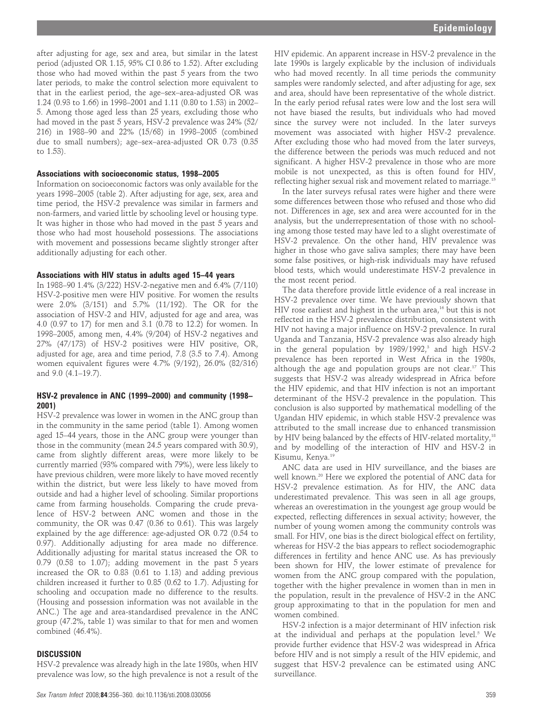after adjusting for age, sex and area, but similar in the latest period (adjusted OR 1.15, 95% CI 0.86 to 1.52). After excluding those who had moved within the past 5 years from the two later periods, to make the control selection more equivalent to that in the earliest period, the age–sex–area-adjusted OR was 1.24 (0.93 to 1.66) in 1998–2001 and 1.11 (0.80 to 1.53) in 2002– 5. Among those aged less than 25 years, excluding those who had moved in the past 5 years, HSV-2 prevalence was 24% (52/ 216) in 1988–90 and 22% (15/68) in 1998–2005 (combined due to small numbers); age–sex–area-adjusted OR 0.73 (0.35 to 1.53).

#### Associations with socioeconomic status, 1998–2005

Information on socioeconomic factors was only available for the years 1998–2005 (table 2). After adjusting for age, sex, area and time period, the HSV-2 prevalence was similar in farmers and non-farmers, and varied little by schooling level or housing type. It was higher in those who had moved in the past 5 years and those who had most household possessions. The associations with movement and possessions became slightly stronger after additionally adjusting for each other.

#### Associations with HIV status in adults aged 15–44 years

In 1988–90 1.4% (3/222) HSV-2-negative men and 6.4% (7/110) HSV-2-positive men were HIV positive. For women the results were 2.0% (3/151) and 5.7% (11/192). The OR for the association of HSV-2 and HIV, adjusted for age and area, was 4.0 (0.97 to 17) for men and 3.1 (0.78 to 12.2) for women. In 1998–2005, among men, 4.4% (9/204) of HSV-2 negatives and 27% (47/173) of HSV-2 positives were HIV positive, OR, adjusted for age, area and time period, 7.8 (3.5 to 7.4). Among women equivalent figures were 4.7% (9/192), 26.0% (82/316) and 9.0 (4.1–19.7).

## HSV-2 prevalence in ANC (1999–2000) and community (1998– 2001)

HSV-2 prevalence was lower in women in the ANC group than in the community in the same period (table 1). Among women aged 15–44 years, those in the ANC group were younger than those in the community (mean 24.5 years compared with 30.9), came from slightly different areas, were more likely to be currently married (93% compared with 79%), were less likely to have previous children, were more likely to have moved recently within the district, but were less likely to have moved from outside and had a higher level of schooling. Similar proportions came from farming households. Comparing the crude prevalence of HSV-2 between ANC women and those in the community, the OR was 0.47 (0.36 to 0.61). This was largely explained by the age difference: age-adjusted OR 0.72 (0.54 to 0.97). Additionally adjusting for area made no difference. Additionally adjusting for marital status increased the OR to 0.79 (0.58 to 1.07); adding movement in the past 5 years increased the OR to 0.83 (0.61 to 1.13) and adding previous children increased it further to 0.85 (0.62 to 1.7). Adjusting for schooling and occupation made no difference to the results. (Housing and possession information was not available in the ANC.) The age and area-standardised prevalence in the ANC group (47.2%, table 1) was similar to that for men and women combined (46.4%).

#### **DISCUSSION**

HSV-2 prevalence was already high in the late 1980s, when HIV prevalence was low, so the high prevalence is not a result of the

HIV epidemic. An apparent increase in HSV-2 prevalence in the late 1990s is largely explicable by the inclusion of individuals who had moved recently. In all time periods the community samples were randomly selected, and after adjusting for age, sex and area, should have been representative of the whole district. In the early period refusal rates were low and the lost sera will not have biased the results, but individuals who had moved since the survey were not included. In the later surveys movement was associated with higher HSV-2 prevalence. After excluding those who had moved from the later surveys, the difference between the periods was much reduced and not significant. A higher HSV-2 prevalence in those who are more mobile is not unexpected, as this is often found for HIV, reflecting higher sexual risk and movement related to marriage.15

In the later surveys refusal rates were higher and there were some differences between those who refused and those who did not. Differences in age, sex and area were accounted for in the analysis, but the underrepresentation of those with no schooling among those tested may have led to a slight overestimate of HSV-2 prevalence. On the other hand, HIV prevalence was higher in those who gave saliva samples; there may have been some false positives, or high-risk individuals may have refused blood tests, which would underestimate HSV-2 prevalence in the most recent period.

The data therefore provide little evidence of a real increase in HSV-2 prevalence over time. We have previously shown that HIV rose earliest and highest in the urban area,<sup>16</sup> but this is not reflected in the HSV-2 prevalence distribution, consistent with HIV not having a major influence on HSV-2 prevalence. In rural Uganda and Tanzania, HSV-2 prevalence was also already high in the general population by  $1989/1992$ ,<sup>3</sup> and high HSV-2 prevalence has been reported in West Africa in the 1980s, although the age and population groups are not clear.<sup>17</sup> This suggests that HSV-2 was already widespread in Africa before the HIV epidemic, and that HIV infection is not an important determinant of the HSV-2 prevalence in the population. This conclusion is also supported by mathematical modelling of the Ugandan HIV epidemic, in which stable HSV-2 prevalence was attributed to the small increase due to enhanced transmission by HIV being balanced by the effects of HIV-related mortality,<sup>18</sup> and by modelling of the interaction of HIV and HSV-2 in Kisumu, Kenya.19

ANC data are used in HIV surveillance, and the biases are well known.20 Here we explored the potential of ANC data for HSV-2 prevalence estimation. As for HIV, the ANC data underestimated prevalence. This was seen in all age groups, whereas an overestimation in the youngest age group would be expected, reflecting differences in sexual activity; however, the number of young women among the community controls was small. For HIV, one bias is the direct biological effect on fertility, whereas for HSV-2 the bias appears to reflect sociodemographic differences in fertility and hence ANC use. As has previously been shown for HIV, the lower estimate of prevalence for women from the ANC group compared with the population, together with the higher prevalence in women than in men in the population, result in the prevalence of HSV-2 in the ANC group approximating to that in the population for men and women combined.

HSV-2 infection is a major determinant of HIV infection risk at the individual and perhaps at the population level.<sup>5</sup> We provide further evidence that HSV-2 was widespread in Africa before HIV and is not simply a result of the HIV epidemic, and suggest that HSV-2 prevalence can be estimated using ANC surveillance.